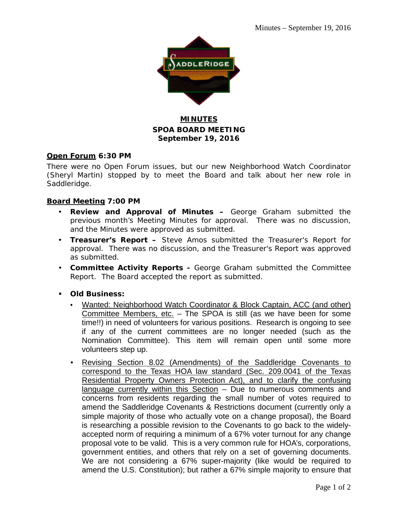

## **MINUTES SPOA BOARD MEETING September 19, 2016**

### **Open Forum 6:30 PM**

There were no Open Forum issues, but our new Neighborhood Watch Coordinator (Sheryl Martin) stopped by to meet the Board and talk about her new role in Saddleridge.

### **Board Meeting 7:00 PM**

- **Review and Approval of Minutes –** George Graham submitted the previous month's Meeting Minutes for approval. There was no discussion, and the Minutes were approved as submitted.
- **Treasurer's Report –** Steve Amos submitted the Treasurer's Report for approval. There was no discussion, and the Treasurer's Report was approved as submitted.
- **Committee Activity Reports -** George Graham submitted the Committee Report. The Board accepted the report as submitted.
- **Old Business:**
	- Wanted: Neighborhood Watch Coordinator & Block Captain, ACC (and other) Committee Members, etc. – The SPOA is still (as we have been for some time!!) in need of volunteers for various positions. Research is ongoing to see if any of the current committees are no longer needed (such as the Nomination Committee). This item will remain open until some more volunteers step up.
	- Revising Section 8.02 (Amendments) of the Saddleridge Covenants to correspond to the Texas HOA law standard (Sec. 209.0041 of the Texas Residential Property Owners Protection Act), and to clarify the confusing language currently within this Section – Due to numerous comments and concerns from residents regarding the small number of votes required to amend the Saddleridge Covenants & Restrictions document (currently only a simple majority of those who actually vote on a change proposal), the Board is researching a possible revision to the Covenants to go back to the widelyaccepted norm of requiring a minimum of a 67% voter turnout for any change proposal vote to be valid. This is a very common rule for HOA's, corporations, government entities, and others that rely on a set of governing documents. We are not considering a 67% super-majority (like would be required to amend the U.S. Constitution); but rather a 67% simple majority to ensure that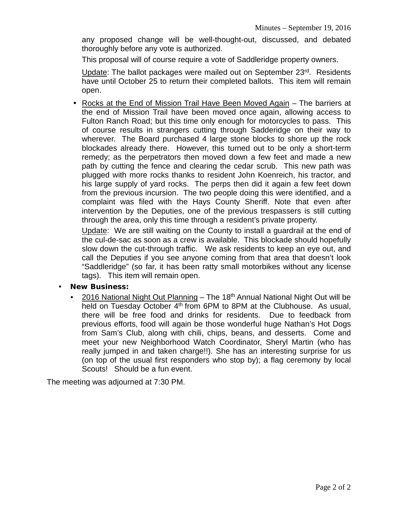any proposed change will be well-thought-out, discussed, and debated thoroughly before any vote is authorized.

This proposal will of course require a vote of Saddleridge property owners.

Update: The ballot packages were mailed out on September 23rd. Residents have until October 25 to return their completed ballots. This item will remain open.

• Rocks at the End of Mission Trail Have Been Moved Again – The barriers at the end of Mission Trail have been moved once again, allowing access to Fulton Ranch Road; but this time only enough for motorcycles to pass. This of course results in strangers cutting through Sadderidge on their way to wherever. The Board purchased 4 large stone blocks to shore up the rock blockades already there. However, this turned out to be only a short-term remedy; as the perpetrators then moved down a few feet and made a new path by cutting the fence and clearing the cedar scrub. This new path was plugged with more rocks thanks to resident John Koenreich, his tractor, and his large supply of yard rocks. The perps then did it again a few feet down from the previous incursion. The two people doing this were identified, and a complaint was filed with the Hays County Sheriff. Note that even after intervention by the Deputies, one of the previous trespassers is still cutting through the area, only this time through a resident's private property.

Update: We are still waiting on the County to install a guardrail at the end of the cul-de-sac as soon as a crew is available. This blockade should hopefully slow down the cut-through traffic. We ask residents to keep an eye out, and call the Deputies if you see anyone coming from that area that doesn't look "Saddleridge" (so far, it has been ratty small motorbikes without any license tags). This item will remain open.

- **New Business:**
	- 2016 National Night Out Planning The 18<sup>th</sup> Annual National Night Out will be held on Tuesday October  $4<sup>th</sup>$  from 6PM to 8PM at the Clubhouse. As usual, there will be free food and drinks for residents. Due to feedback from previous efforts, food will again be those wonderful huge Nathan's Hot Dogs from Sam's Club, along with chili, chips, beans, and desserts. Come and meet your new Neighborhood Watch Coordinator, Sheryl Martin (who has really jumped in and taken charge!!). She has an interesting surprise for us (on top of the usual first responders who stop by); a flag ceremony by local Scouts! Should be a fun event.

The meeting was adjourned at 7:30 PM.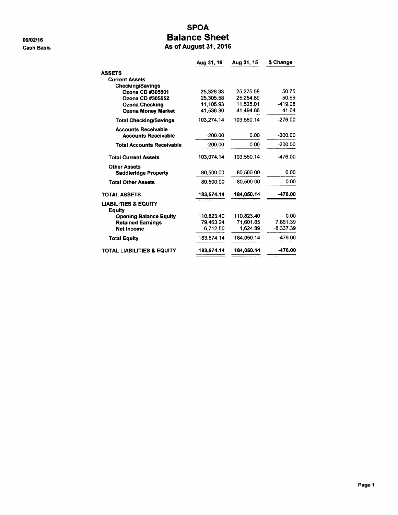09/02/16 **Cash Basis** 

### **SPOA Balance Sheet** As of August 31, 2016

|                                                  | Aug 31, 16  | Aug 31, 15 | \$ Change   |
|--------------------------------------------------|-------------|------------|-------------|
| <b>ASSETS</b>                                    |             |            |             |
| <b>Current Assets</b>                            |             |            |             |
| <b>Checking/Savings</b>                          |             |            |             |
| Ozona CD #305501                                 | 25.326.33   | 25,275.58  | 50.75       |
| Ozona CD #305552                                 | 25.305.58   | 25.254.89  | 50.69       |
| <b>Ozona Checking</b>                            | 11.105.93   | 11.525.01  | -419.08     |
| <b>Ozona Money Market</b>                        | 41,536.30   | 41,494.66  | 41.64       |
| <b>Total Checking/Savings</b>                    | 103.274.14  | 103,550.14 | $-276.00$   |
| <b>Accounts Receivable</b>                       |             |            |             |
| <b>Accounts Receivable</b>                       | $-200.00$   | 0.00       | $-200.00$   |
| <b>Total Accounts Receivable</b>                 | $-200.00$   | 0.00       | $-200.00$   |
| <b>Total Current Assets</b>                      | 103.074.14  | 103,550.14 | $-476.00$   |
| <b>Other Assets</b>                              |             |            |             |
| <b>Saddleridge Property</b>                      | 80,500.00   | 80,500.00  | 0.00        |
| <b>Total Other Assets</b>                        | 80,500.00   | 80,500.00  | 0.00        |
| <b>TOTAL ASSETS</b>                              | 183,574.14  | 184,050.14 | -476.00     |
| <b>LIABILITIES &amp; EQUITY</b><br><b>Equity</b> |             |            |             |
| <b>Opening Balance Equity</b>                    | 110.823.40  | 110,823.40 | 0.00        |
| <b>Retained Earnings</b>                         | 79.463.24   | 71.601.85  | 7.861.39    |
| Net Income                                       | $-6.712.50$ | 1,624.89   | $-8.337.39$ |
| <b>Total Equity</b>                              | 183.574.14  | 184.050.14 | -476.00     |
| TOTAL LIABILITIES & EQUITY                       | 183.574.14  | 184.050.14 | -476.00     |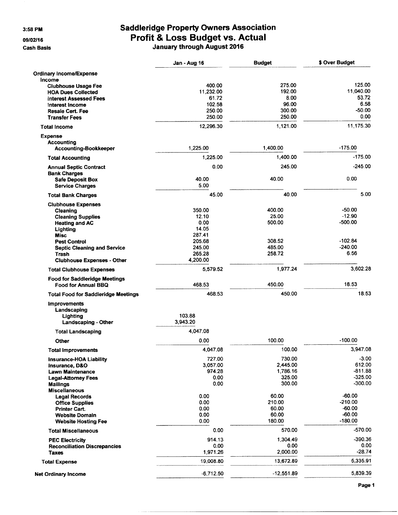3:58 PM

09/02/16

**Cash Basis** 

# **Saddleridge Property Owners Association** Profit & Loss Budget vs. Actual<br>January through August 2016

|                                                                    | Jan - Aug 16 | <b>Budget</b> | \$ Over Budget |
|--------------------------------------------------------------------|--------------|---------------|----------------|
| <b>Ordinary Income/Expense</b>                                     |              |               |                |
| Income                                                             |              |               |                |
| <b>Clubhouse Usage Fee</b>                                         | 400.00       | 275.00        | 125.00         |
| <b>HOA Dues Collected</b>                                          | 11.232.00    | 192.00        | 11,040.00      |
| <b>Interest Assessed Fees</b>                                      | 61.72        | 8.00          | 53.72          |
| Interest Income                                                    | 102.58       | 96.00         | 6.58           |
| <b>Resale Cert. Fee</b>                                            | 250.00       | 300.00        | $-50.00$       |
| <b>Transfer Fees</b>                                               | 250.00       | 250.00        | 0.00           |
| <b>Total Income</b>                                                | 12,296.30    | 1,121.00      | 11,175.30      |
| <b>Expense</b>                                                     |              |               |                |
| <b>Accounting</b>                                                  |              | 1,400.00      | $-175.00$      |
| Accounting-Bookkeeper                                              | 1,225.00     |               |                |
| <b>Total Accounting</b>                                            | 1,225.00     | 1,400.00      | $-175.00$      |
| <b>Annual Septic Contract</b>                                      | 0.00         | 245.00        | $-245.00$      |
| <b>Bank Charges</b>                                                |              |               |                |
| <b>Safe Deposit Box</b>                                            | 40.00        | 40.00         | 0.00           |
| <b>Service Charges</b>                                             | 5.00         |               |                |
| <b>Total Bank Charges</b>                                          | 45.00        | 40.00         | 5.00           |
| <b>Clubhouse Expenses</b>                                          |              |               |                |
| Cleaning                                                           | 350.00       | 400.00        | $-50.00$       |
| <b>Cleaning Supplies</b>                                           | 12.10        | 25.00         | $-12.90$       |
| <b>Heating and AC</b>                                              | 0.00         | 500.00        | $-500.00$      |
| Lighting                                                           | 14.05        |               |                |
| <b>Misc</b>                                                        | 287.41       |               |                |
| <b>Pest Control</b>                                                | 205.68       | 308.52        | $-102.84$      |
| <b>Septic Cleaning and Service</b>                                 | 245.00       | 485.00        | $-240.00$      |
| Trash                                                              | 265.28       | 258.72        | 6.56           |
| <b>Clubhouse Expenses - Other</b>                                  | 4,200.00     |               |                |
| <b>Total Clubhouse Expenses</b>                                    | 5,579.52     | 1,977.24      | 3,602.28       |
| <b>Food for Saddleridge Meetings</b><br><b>Food for Annual BBQ</b> | 468.53       | 450.00        | 18.53          |
| <b>Total Food for Saddleridge Meetings</b>                         | 468.53       | 450.00        | 18.53          |
| <b>Improvements</b>                                                |              |               |                |
| Landscaping                                                        |              |               |                |
| Lighting                                                           | 103.88       |               |                |
| Landscaping - Other                                                | 3.943.20     |               |                |
| <b>Total Landscaping</b>                                           | 4,047.08     |               |                |
| Other                                                              | 0.00         | 100.00        | $-100.00$      |
| <b>Total Improvements</b>                                          | 4,047.08     | 100.00        | 3,947.08       |
| <b>Insurance-HOA Liability</b>                                     | 727.00       | 730.00        | $-3.00$        |
| Insurance, D&O                                                     | 3,057.00     | 2,445.00      | 612.00         |
| <b>Lawn Maintenance</b>                                            | 974.28       | 1,786.16      | $-811.88$      |
| <b>Legal-Attorney Fees</b>                                         | 0.00         | 325.00        | $-325.00$      |
| <b>Mailings</b>                                                    | 0.00         | 300.00        | $-300.00$      |
| <b>Miscellaneous</b>                                               |              |               |                |
| <b>Legal Records</b>                                               | 0.00         | 60.00         | $-60.00$       |
| <b>Office Supplies</b>                                             | 0.00         | 210.00        | $-210.00$      |
| <b>Printer Cart.</b>                                               | 0.00         | 60.00         | $-60.00$       |
| <b>Website Domain</b>                                              | 0.00         | 60.00         | $-60.00$       |
| <b>Website Hosting Fee</b>                                         | 0.00         | 180.00        | $-180.00$      |
| <b>Total Miscellaneous</b>                                         | 0.00         | 570.00        | $-570.00$      |
| <b>PEC Electricity</b>                                             | 914.13       | 1,304.49      | $-390.36$      |
| <b>Reconciliation Discrepancies</b>                                | 0.00         | 0.00          | 0.00           |
| Taxes                                                              | 1,971.26     | 2,000.00      | $-28.74$       |
| <b>Total Expense</b>                                               | 19,008.80    | 13,672.89     | 5,335.91       |
| <b>Net Ordinary Income</b>                                         | $-6,712.50$  | $-12,551.89$  | 5,839.39       |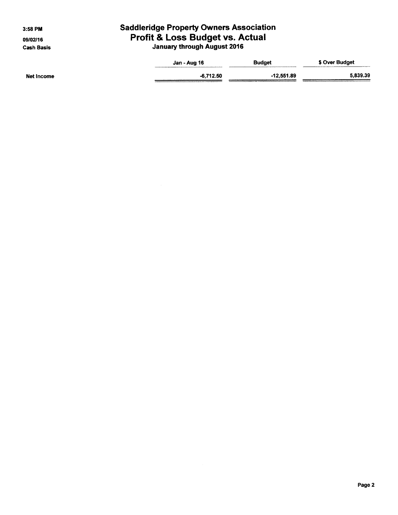3:58 PM

09/02/16 **Cash Basis** 

# **Saddleridge Property Owners Association** Profit & Loss Budget vs. Actual<br>January through August 2016

|            | Jan - Aug 16 | <b>Budget</b> | \$ Over Budget |
|------------|--------------|---------------|----------------|
|            |              |               |                |
| Net Income | $-6.712.50$  | $-12,551.89$  | 5,839.39       |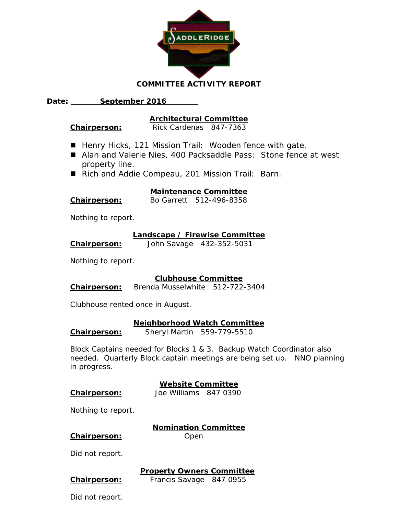

### **COMMITTEE ACTIVITY REPORT**

**Date: September 2016** 

### **Architectural Committee**

**Chairperson:** Rick Cardenas 847-7363

- Henry Hicks, 121 Mission Trail: Wooden fence with gate.
- Alan and Valerie Nies, 400 Packsaddle Pass: Stone fence at west property line.
- Rich and Addie Compeau, 201 Mission Trail: Barn.

### **Maintenance Committee**

**Chairperson:** Bo Garrett 512-496-8358

Nothing to report.

#### **Landscape / Firewise Committee**

**Chairperson:** John Savage 432-352-5031

Nothing to report.

### **Clubhouse Committee**

**Chairperson:** Brenda Musselwhite 512-722-3404

Clubhouse rented once in August.

### **Neighborhood Watch Committee**

**Chairperson:** Sheryl Martin 559-779-5510

Block Captains needed for Blocks 1 & 3. Backup Watch Coordinator also needed. Quarterly Block captain meetings are being set up. NNO planning in progress.

## **Website Committee**

**Chairperson:** Joe Williams 847 0390

Nothing to report.

**Nomination Committee Chairperson:** Open

Did not report.

**Property Owners Committee**

**Chairperson:** Francis Savage 847 0955

Did not report.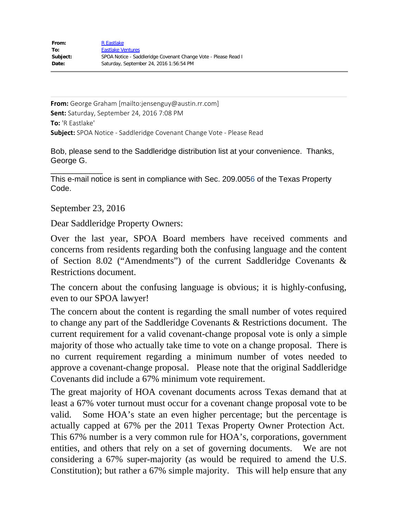**From:** George Graham [mailto:jensenguy@austin.rr.com] **Sent:** Saturday, September 24, 2016 7:08 PM **To:** 'R Eastlake' **Subject:** SPOA Notice - Saddleridge Covenant Change Vote - Please Read

Bob, please send to the Saddleridge distribution list at your convenience. Thanks, George G.

\_\_\_\_\_\_\_\_\_\_\_\_ This e-mail notice is sent in compliance with Sec. 209.0056 of the Texas Property Code.

September 23, 2016

Dear Saddleridge Property Owners:

Over the last year, SPOA Board members have received comments and concerns from residents regarding both the confusing language and the content of Section 8.02 ("Amendments") of the current Saddleridge Covenants & Restrictions document.

The concern about the confusing language is obvious; it is highly-confusing, even to our SPOA lawyer!

The concern about the content is regarding the small number of votes required to change any part of the Saddleridge Covenants & Restrictions document. The current requirement for a valid covenant-change proposal vote is only a simple majority of those who actually take time to vote on a change proposal. There is no current requirement regarding a minimum number of votes needed to approve a covenant-change proposal. Please note that the original Saddleridge Covenants did include a 67% minimum vote requirement.

The great majority of HOA covenant documents across Texas demand that at least a 67% voter turnout must occur for a covenant change proposal vote to be valid. Some HOA's state an even higher percentage; but the percentage is actually capped at 67% per the 2011 Texas Property Owner Protection Act. This 67% number is a very common rule for HOA's, corporations, government entities, and others that rely on a set of governing documents. We are not considering a 67% super-majority (as would be required to amend the U.S. Constitution); but rather a 67% simple majority. This will help ensure that any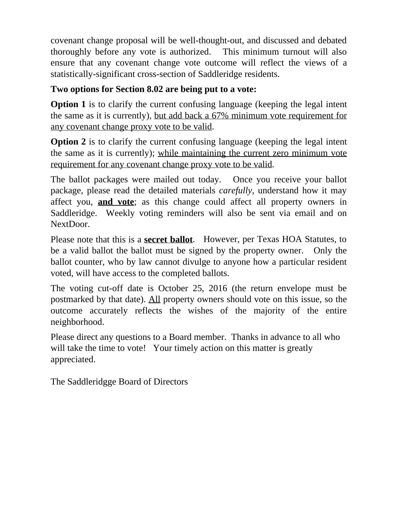covenant change proposal will be well-thought-out, and discussed and debated thoroughly before any vote is authorized. This minimum turnout will also ensure that any covenant change vote outcome will reflect the views of a statistically-significant cross-section of Saddleridge residents.

## **Two options for Section 8.02 are being put to a vote:**

**Option 1** is to clarify the current confusing language (keeping the legal intent the same as it is currently), but add back a 67% minimum vote requirement for any covenant change proxy vote to be valid.

**Option 2** is to clarify the current confusing language (keeping the legal intent the same as it is currently); while maintaining the current zero minimum vote requirement for any covenant change proxy vote to be valid.

The ballot packages were mailed out today. Once you receive your ballot package, please read the detailed materials *carefully*, understand how it may affect you, **and vote**; as this change could affect all property owners in Saddleridge. Weekly voting reminders will also be sent via email and on NextDoor.

Please note that this is a **secret ballot**. However, per Texas HOA Statutes, to be a valid ballot the ballot must be signed by the property owner. Only the ballot counter, who by law cannot divulge to anyone how a particular resident voted, will have access to the completed ballots.

The voting cut-off date is October 25, 2016 (the return envelope must be postmarked by that date). All property owners should vote on this issue, so the outcome accurately reflects the wishes of the majority of the entire neighborhood.

Please direct any questions to a Board member. Thanks in advance to all who will take the time to vote! Your timely action on this matter is greatly appreciated.

The Saddleridgge Board of Directors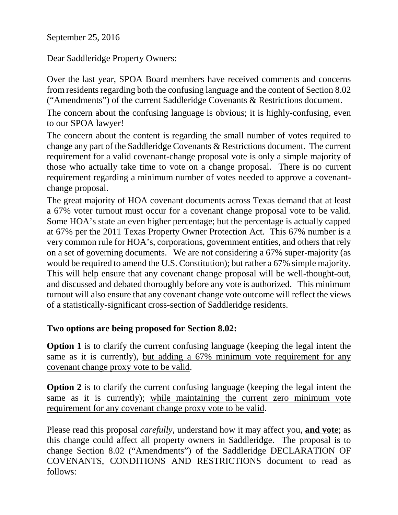September 25, 2016

Dear Saddleridge Property Owners:

Over the last year, SPOA Board members have received comments and concerns from residents regarding both the confusing language and the content of Section 8.02 ("Amendments") of the current Saddleridge Covenants & Restrictions document.

The concern about the confusing language is obvious; it is highly-confusing, even to our SPOA lawyer!

The concern about the content is regarding the small number of votes required to change any part of the Saddleridge Covenants & Restrictions document. The current requirement for a valid covenant-change proposal vote is only a simple majority of those who actually take time to vote on a change proposal. There is no current requirement regarding a minimum number of votes needed to approve a covenantchange proposal.

The great majority of HOA covenant documents across Texas demand that at least a 67% voter turnout must occur for a covenant change proposal vote to be valid. Some HOA's state an even higher percentage; but the percentage is actually capped at 67% per the 2011 Texas Property Owner Protection Act. This 67% number is a very common rule for HOA's, corporations, government entities, and others that rely on a set of governing documents. We are not considering a 67% super-majority (as would be required to amend the U.S. Constitution); but rather a 67% simple majority. This will help ensure that any covenant change proposal will be well-thought-out, and discussed and debated thoroughly before any vote is authorized. This minimum turnout will also ensure that any covenant change vote outcome will reflect the views of a statistically-significant cross-section of Saddleridge residents.

## **Two options are being proposed for Section 8.02:**

**Option 1** is to clarify the current confusing language (keeping the legal intent the same as it is currently), but adding a 67% minimum vote requirement for any covenant change proxy vote to be valid.

**Option 2** is to clarify the current confusing language (keeping the legal intent the same as it is currently); while maintaining the current zero minimum vote requirement for any covenant change proxy vote to be valid.

Please read this proposal *carefully*, understand how it may affect you, **and vote**; as this change could affect all property owners in Saddleridge. The proposal is to change Section 8.02 ("Amendments") of the Saddleridge DECLARATION OF COVENANTS, CONDITIONS AND RESTRICTIONS document to read as follows: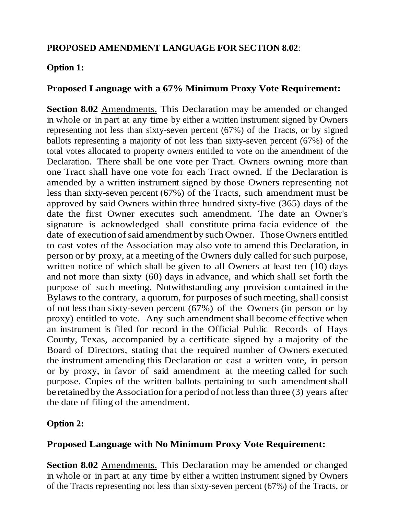## **PROPOSED AMENDMENT LANGUAGE FOR SECTION 8.02**:

## **Option 1:**

## **Proposed Language with a 67% Minimum Proxy Vote Requirement:**

**Section 8.02** Amendments. This Declaration may be amended or changed in whole or in part at any time by either a written instrument signed by Owners representing not less than sixty-seven percent (67%) of the Tracts, or by signed ballots representing a majority of not less than sixty-seven percent (67%) of the total votes allocated to property owners entitled to vote on the amendment of the Declaration. There shall be one vote per Tract. Owners owning more than one Tract shall have one vote for each Tract owned. If the Declaration is amended by a written instrument signed by those Owners representing not less than sixty-seven percent (67%) of the Tracts, such amendment must be approved by said Owners within three hundred sixty-five (365) days of the date the first Owner executes such amendment. The date an Owner's signature is acknowledged shall constitute prima facia evidence of the date of execution of said amendment by such Owner. Those Owners entitled to cast votes of the Association may also vote to amend this Declaration, in person or by proxy, at a meeting of the Owners duly called for such purpose, written notice of which shall be given to all Owners at least ten (10) days and not more than sixty (60) days in advance, and which shall set forth the purpose of such meeting. Notwithstanding any provision contained in the Bylaws to the contrary, a quorum, for purposes of such meeting, shall consist of not less than sixty-seven percent (67%) of the Owners (in person or by proxy) entitled to vote. Any such amendment shall become effective when an instrument is filed for record in the Official Public Records of Hays County, Texas, accompanied by a certificate signed by a majority of the Board of Directors, stating that the required number of Owners executed the instrument amending this Declaration or cast a written vote, in person or by proxy, in favor of said amendment at the meeting called for such purpose. Copies of the written ballots pertaining to such amendment shall be retained by the Association for a period of not lessthan three (3) years after the date of filing of the amendment.

## **Option 2:**

## **Proposed Language with No Minimum Proxy Vote Requirement:**

**Section 8.02** Amendments. This Declaration may be amended or changed in whole or in part at any time by either a written instrument signed by Owners of the Tracts representing not less than sixty-seven percent (67%) of the Tracts, or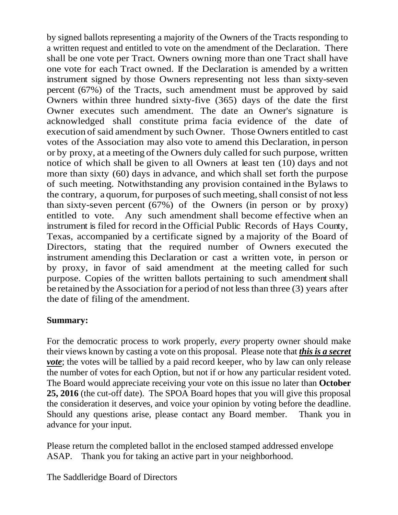by signed ballots representing a majority of the Owners of the Tracts responding to a written request and entitled to vote on the amendment of the Declaration. There shall be one vote per Tract. Owners owning more than one Tract shall have one vote for each Tract owned. If the Declaration is amended by a written instrument signed by those Owners representing not less than sixty-seven percent (67%) of the Tracts, such amendment must be approved by said Owners within three hundred sixty-five (365) days of the date the first Owner executes such amendment. The date an Owner's signature is acknowledged shall constitute prima facia evidence of the date of execution of said amendment by such Owner. Those Owners entitled to cast votes of the Association may also vote to amend this Declaration, in person or by proxy, at a meeting of the Owners duly called for such purpose, written notice of which shall be given to all Owners at least ten (10) days and not more than sixty (60) days in advance, and which shall set forth the purpose of such meeting. Notwithstanding any provision contained in the Bylaws to the contrary, a quorum, for purposes of such meeting, shall consist of not less than sixty-seven percent (67%) of the Owners (in person or by proxy) entitled to vote. Any such amendment shall become effective when an instrument is filed for record in the Official Public Records of Hays County, Texas, accompanied by a certificate signed by a majority of the Board of Directors, stating that the required number of Owners executed the instrument amending this Declaration or cast a written vote, in person or by proxy, in favor of said amendment at the meeting called for such purpose. Copies of the written ballots pertaining to such amendment shall be retained by the Association for a period of not lessthan three (3) years after the date of filing of the amendment.

## **Summary:**

For the democratic process to work properly, *every* property owner should make their views known by casting a vote on this proposal. Please note that *this is a secret vote*; the votes will be tallied by a paid record keeper, who by law can only release the number of votes for each Option, but not if or how any particular resident voted. The Board would appreciate receiving your vote on this issue no later than **October 25, 2016** (the cut-off date). The SPOA Board hopes that you will give this proposal the consideration it deserves, and voice your opinion by voting before the deadline. Should any questions arise, please contact any Board member. Thank you in advance for your input.

Please return the completed ballot in the enclosed stamped addressed envelope ASAP. Thank you for taking an active part in your neighborhood.

The Saddleridge Board of Directors